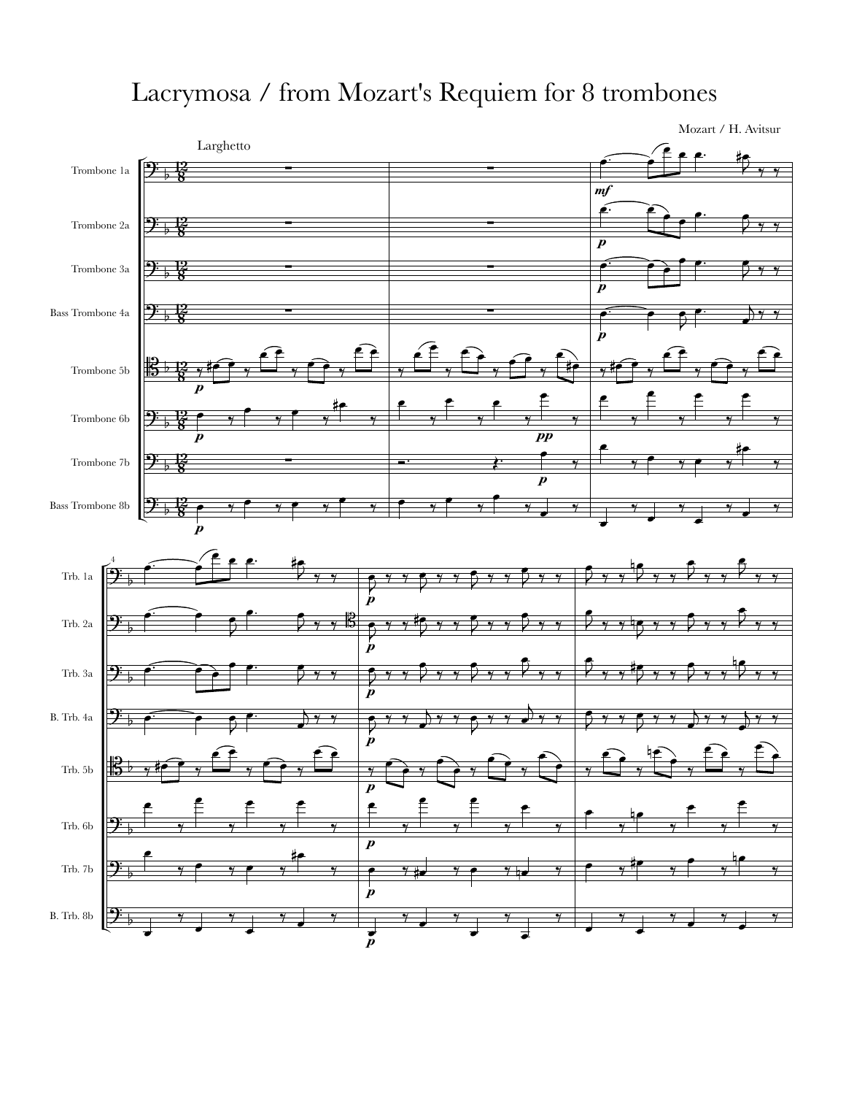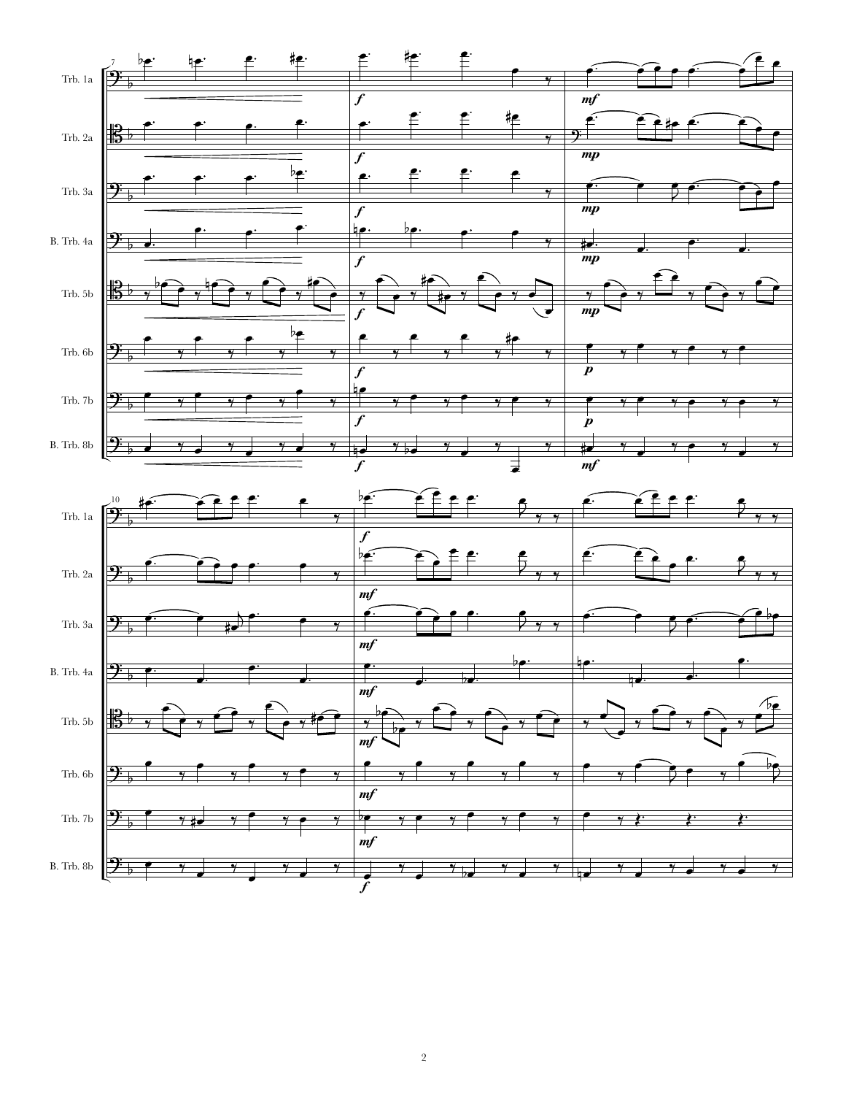

 $\overline{2}$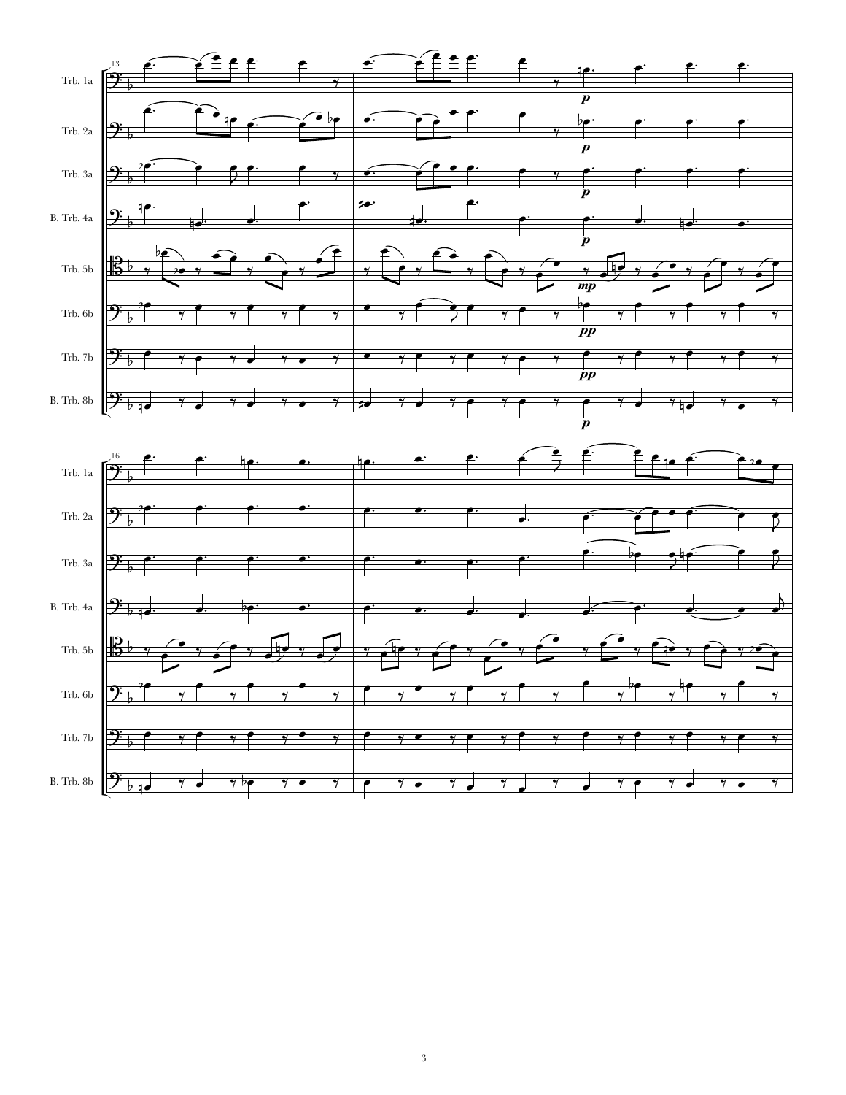

 $\sqrt{3}$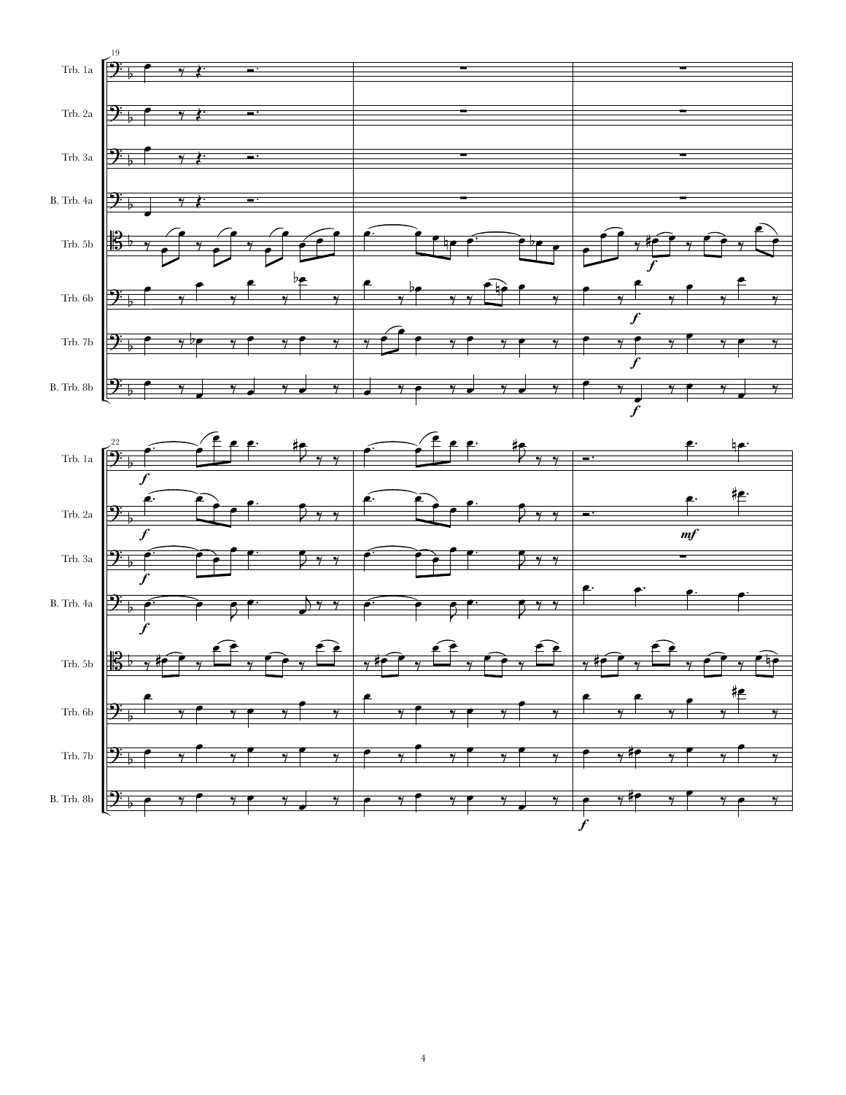

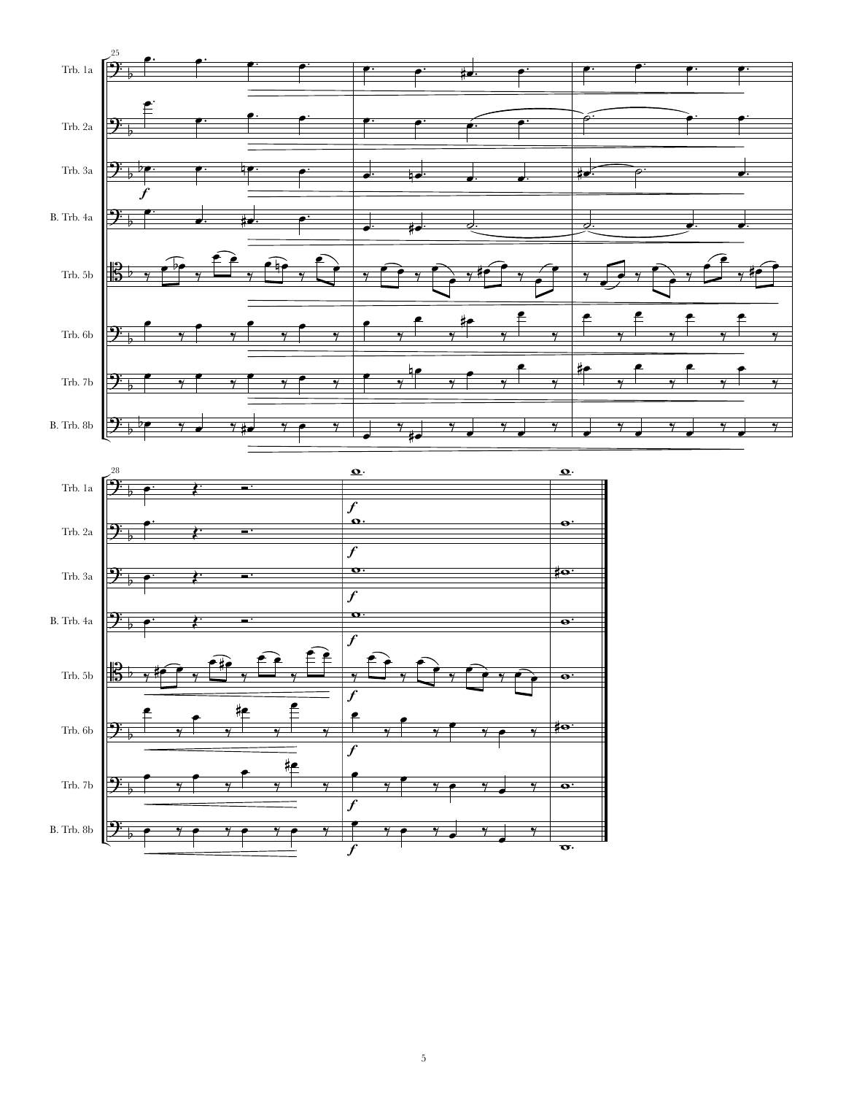



 $5\,$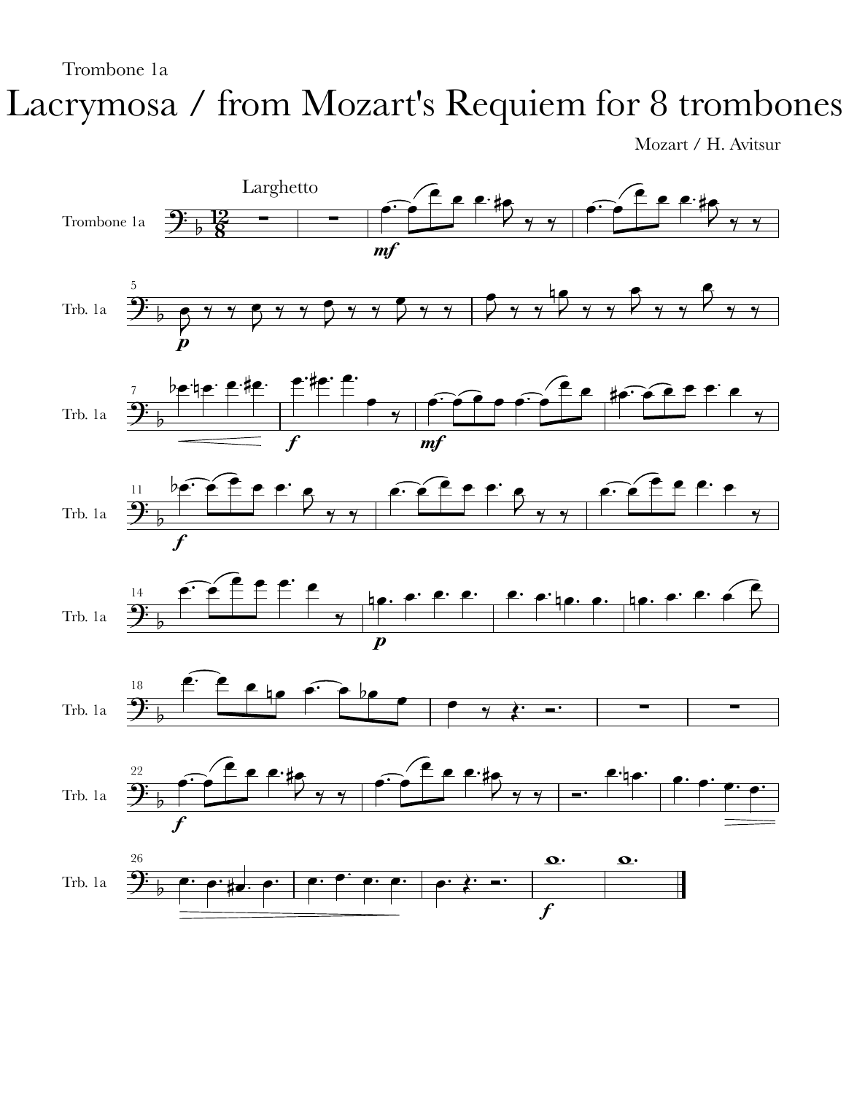Trombone 1a

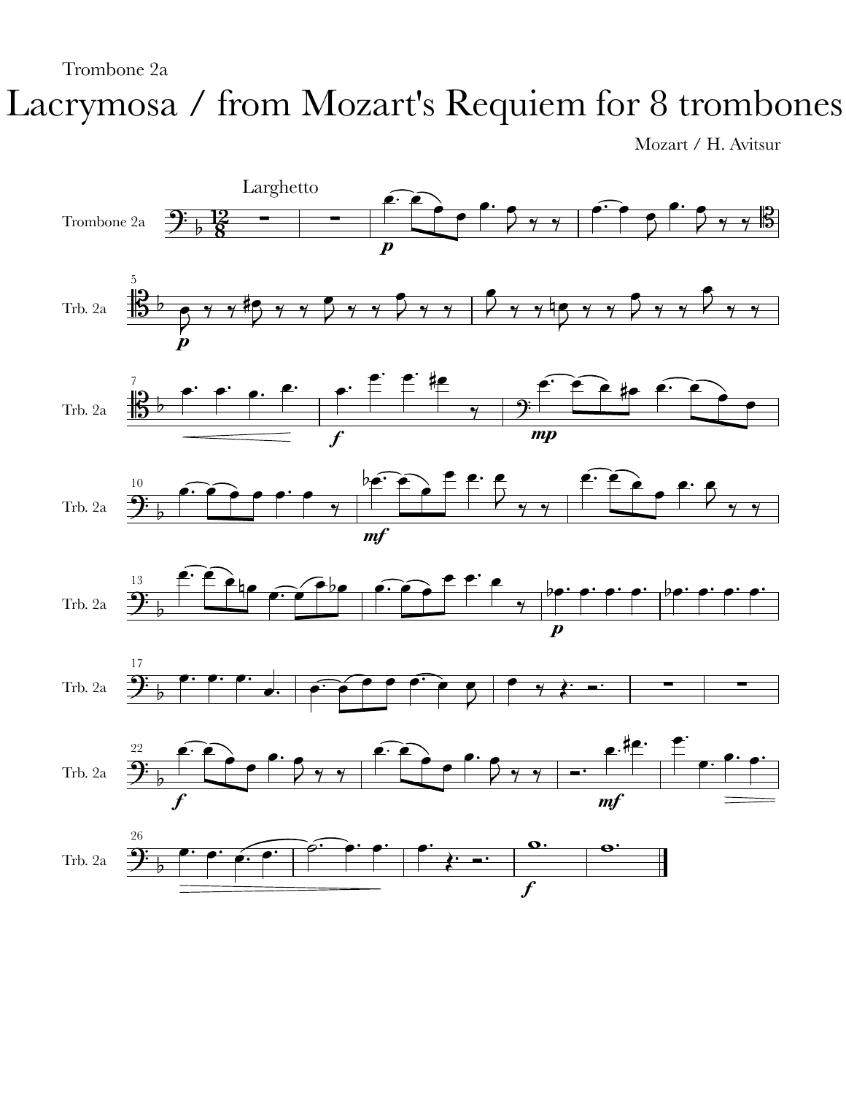Trombone 2a

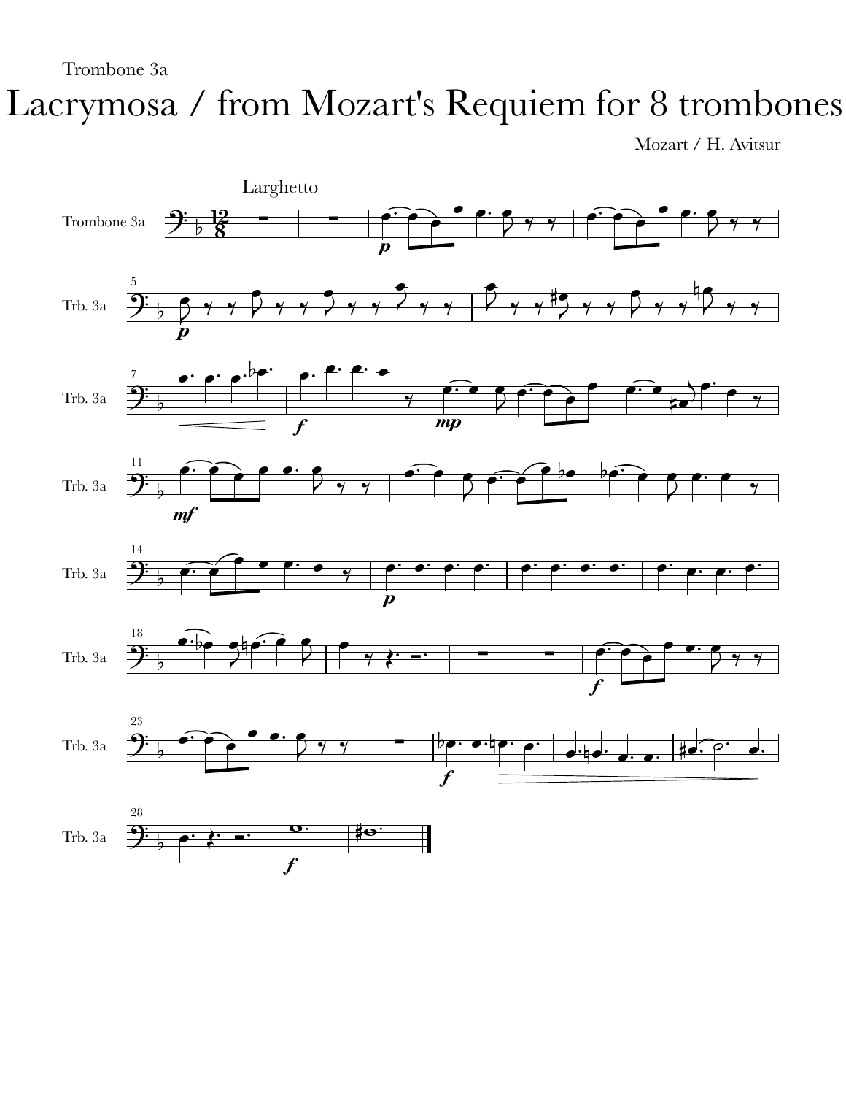Trombone 3a

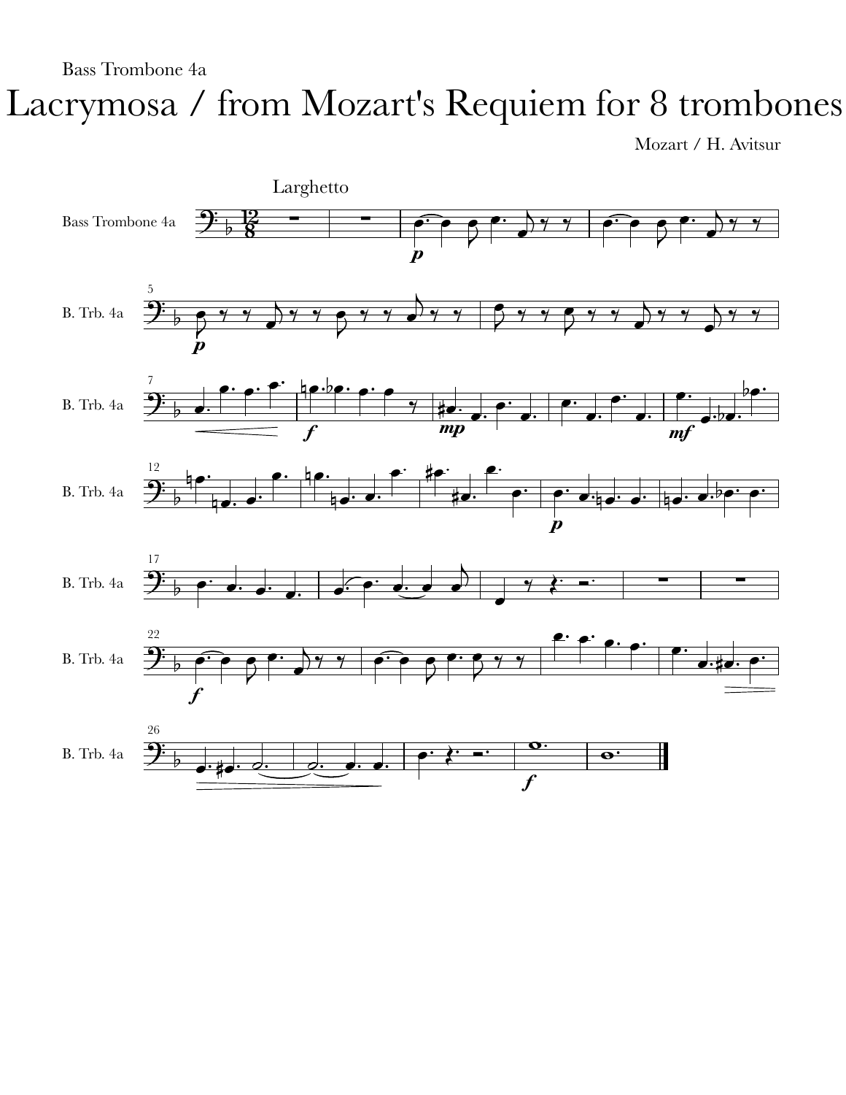Bass Trombone 4a

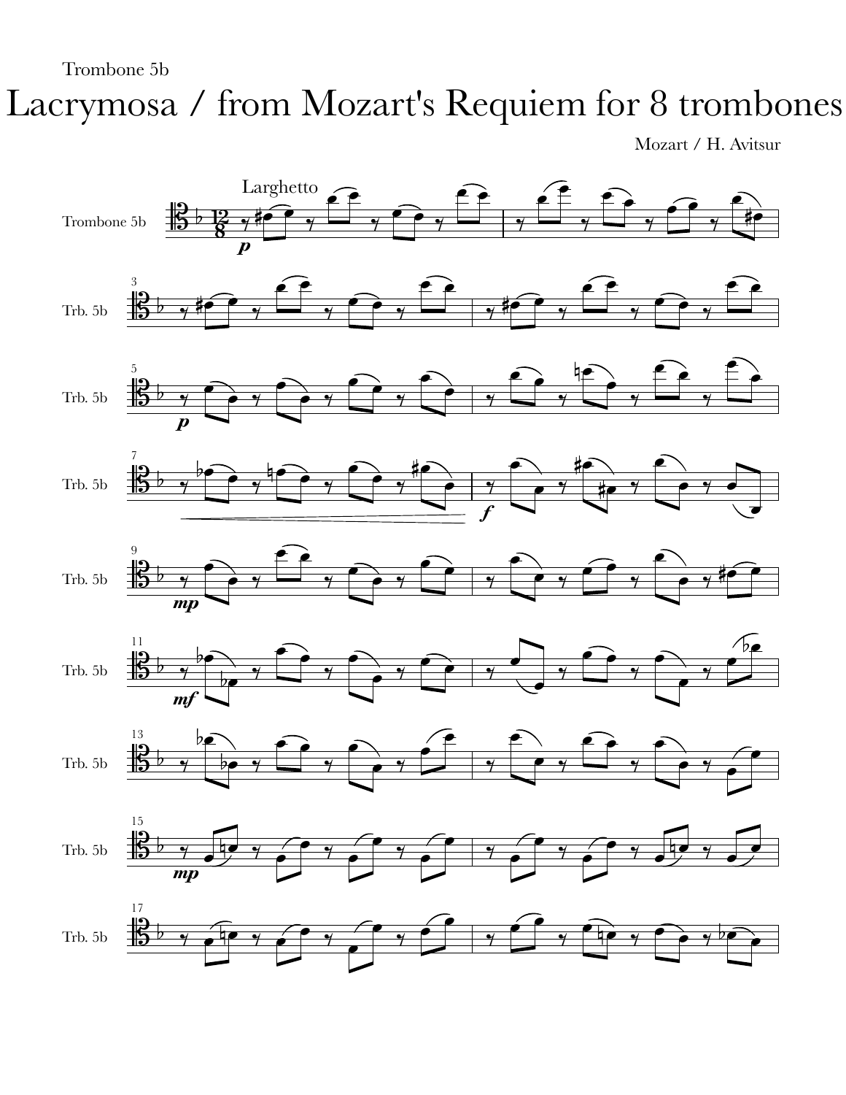Trombone 5b

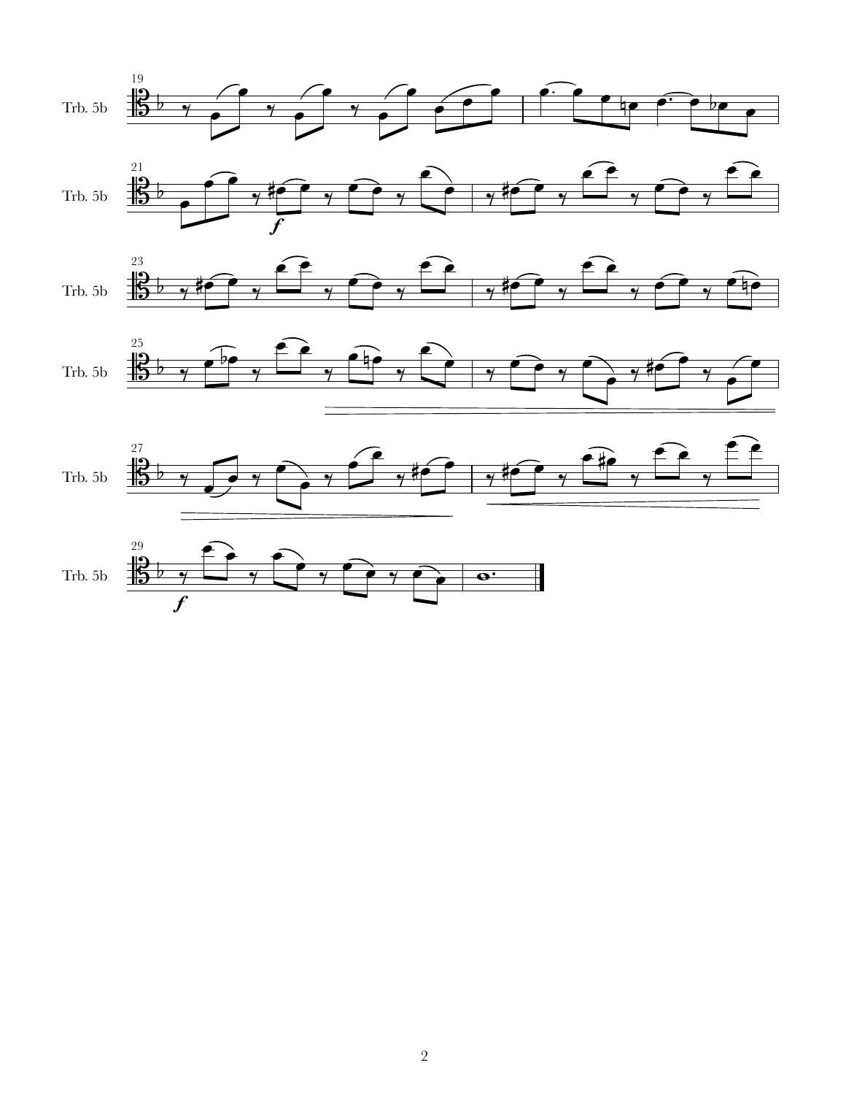![](_page_10_Figure_0.jpeg)

![](_page_10_Figure_1.jpeg)

![](_page_10_Figure_2.jpeg)

![](_page_10_Figure_3.jpeg)

![](_page_10_Figure_4.jpeg)

![](_page_10_Figure_5.jpeg)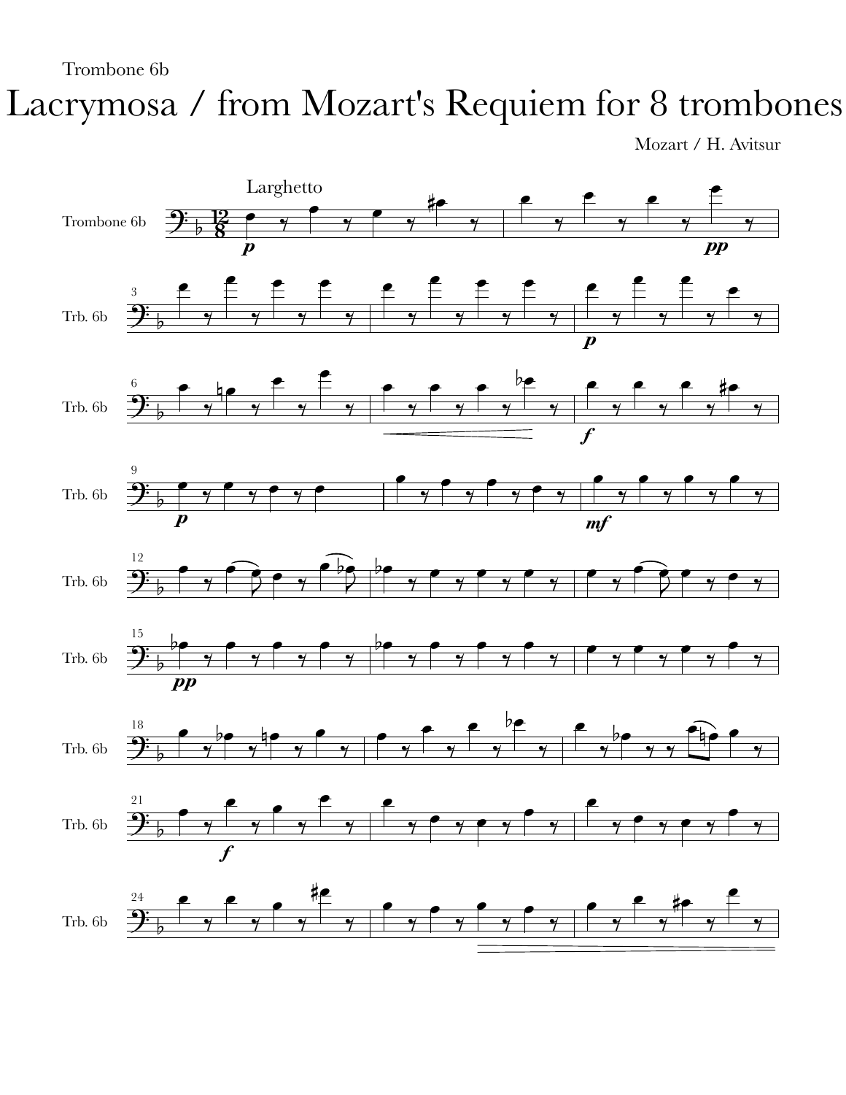Trombone 6b

![](_page_11_Figure_3.jpeg)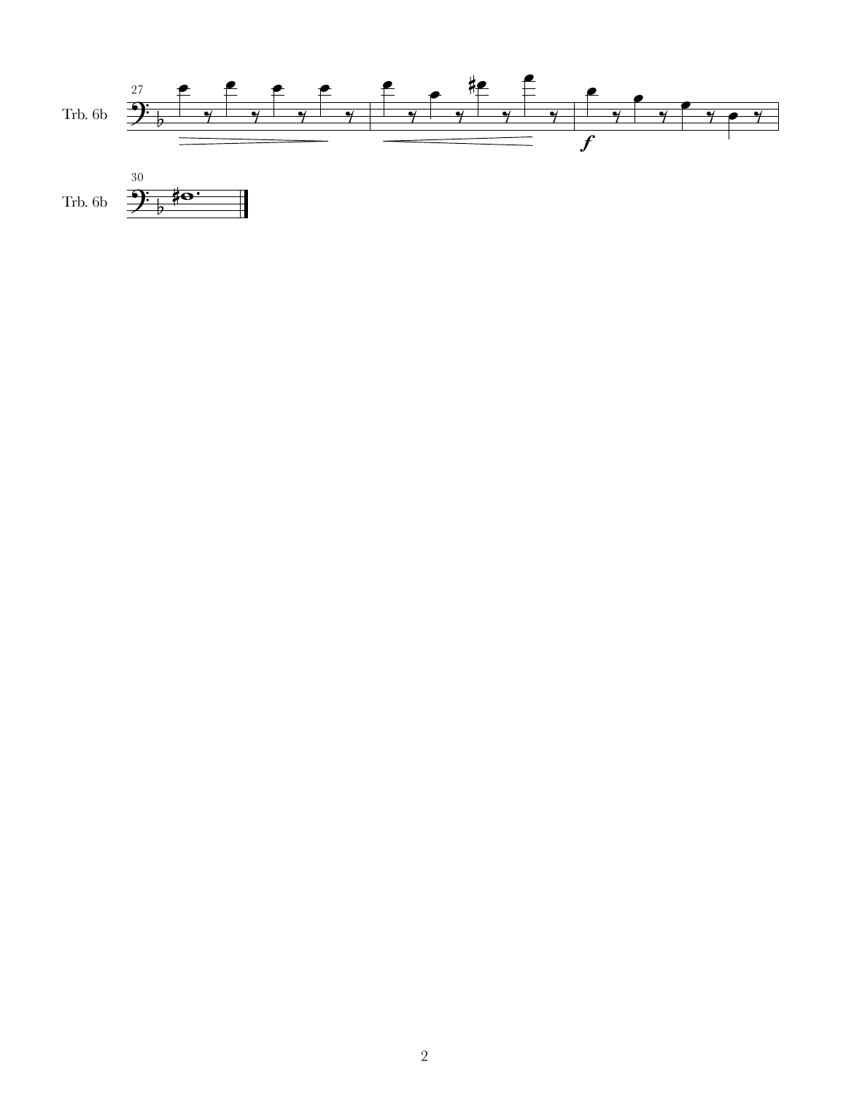![](_page_12_Figure_0.jpeg)

![](_page_12_Figure_1.jpeg)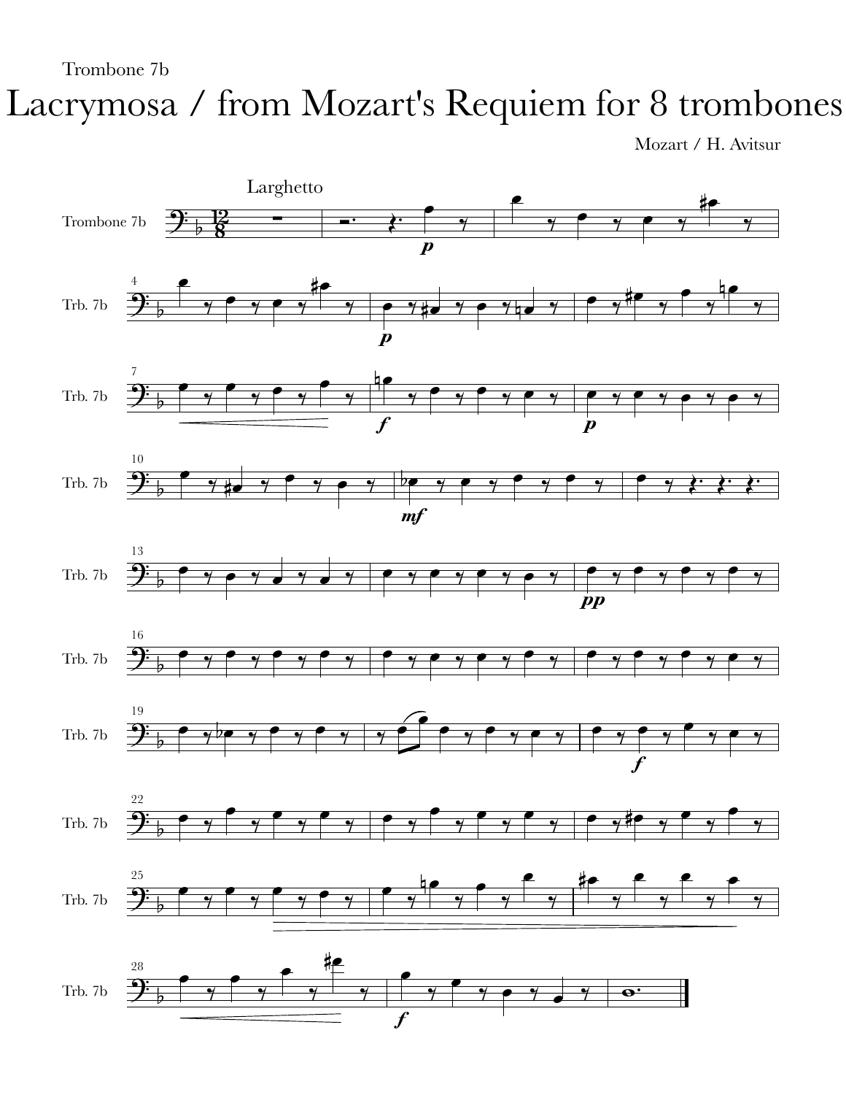Lacrymosa / from Mozart's Requiem for 8 trombones Trombone 7b

![](_page_13_Figure_2.jpeg)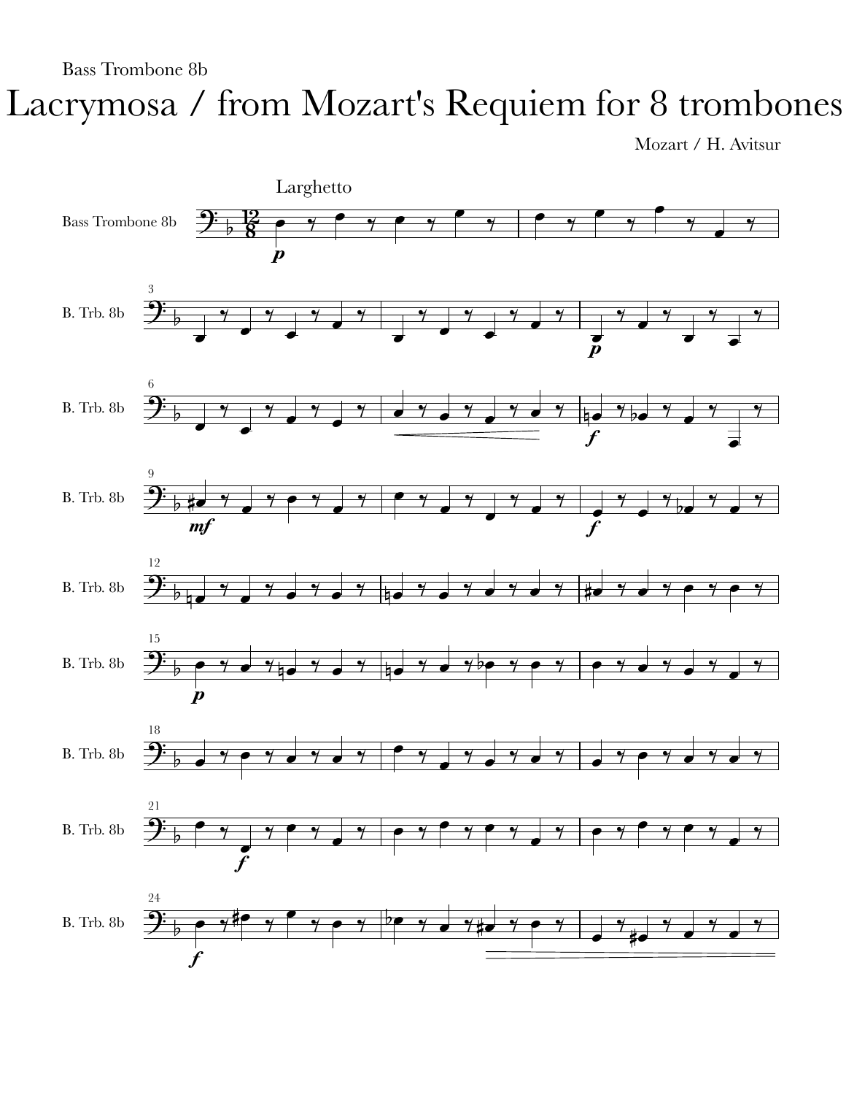Bass Trombone 8b

![](_page_14_Figure_3.jpeg)